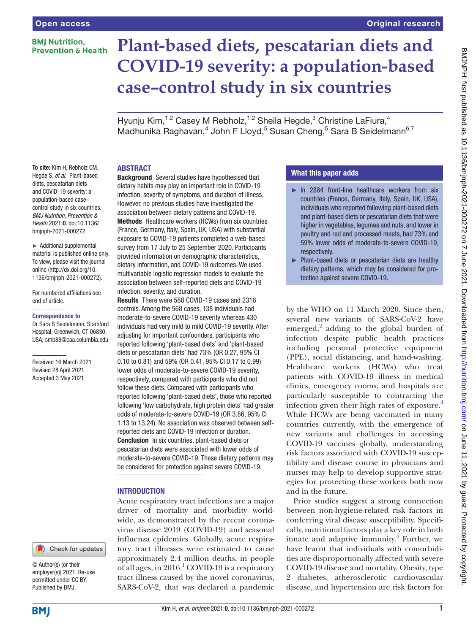# **BMI Nutrition. Prevention & Health**

# **Plant-based diets, pescatarian diets and COVID-19 severity: a population-based case–control study in six countries** Original research

Hyunju Kim,<sup>1,2</sup> Casey M Rebholz,<sup>1,2</sup> Sheila Hegde,<sup>3</sup> Christine LaFiura,<sup>4</sup> Madhunika Raghavan,<sup>4</sup> John F Lloyd,<sup>5</sup> Susan Cheng,<sup>5</sup> Sara B Seidelmann<sup>6,7</sup>

# ABSTRACT

To cite: Kim H, Rebholz CM, Hegde S, *et al*. Plant-based diets, pescatarian diets and COVID-19 severity: a population-based case– control study in six countries. *BMJ Nutrition, Prevention & Health* 2021;0. doi:10.1136/ bmjnph-2021-000272

► Additional supplemental material is published online only. To view, please visit the journal online [\(http://dx.doi.org/10.](http://dx.doi.org/10.1136/bmjnph-2021-000272) [1136/bmjnph-2021-000272](http://dx.doi.org/10.1136/bmjnph-2021-000272)).

For numbered affiliations see end of article.

#### Correspondence to

Dr Sara B Seidelmann, Stamford Hospital, Greenwich, CT 06830, USA; smb88@caa.columbia.edu

Received 16 March 2021 Revised 28 April 2021 Accepted 3 May 2021

#### Check for updates

© Author(s) (or their employer(s)) 2021. Re-use permitted under CC BY. Published by BMJ.

Background Several studies have hypothesised that dietary habits may play an important role in COVID-19 infection, severity of symptoms, and duration of illness. However, no previous studies have investigated the association between dietary patterns and COVID-19. Methods Healthcare workers (HCWs) from six countries (France, Germany, Italy, Spain, UK, USA) with substantial exposure to COVID-19 patients completed a web-based survey from 17 July to 25 September 2020. Participants provided information on demographic characteristics, dietary information, and COVID-19 outcomes. We used multivariable logistic regression models to evaluate the association between self-reported diets and COVID-19 infection, severity, and duration.

Results There were 568 COVID-19 cases and 2316 controls. Among the 568 cases, 138 individuals had moderate-to-severe COVID-19 severity whereas 430 individuals had very mild to mild COVID-19 severity. After adjusting for important confounders, participants who reported following 'plant-based diets' and 'plant-based diets or pescatarian diets' had 73% (OR 0.27, 95% CI 0.10 to 0.81) and 59% (OR 0.41, 95% CI 0.17 to 0.99) lower odds of moderate-to-severe COVID-19 severity, respectively, compared with participants who did not follow these diets. Compared with participants who reported following 'plant-based diets', those who reported following 'low carbohydrate, high protein diets' had greater odds of moderate-to-severe COVID-19 (OR 3.86, 95% CI 1.13 to 13.24). No association was observed between selfreported diets and COVID-19 infection or duration. Conclusion In six countries, plant-based diets or pescatarian diets were associated with lower odds of moderate-to-severe COVID-19. These dietary patterns may be considered for protection against severe COVID-19.

#### INTRODUCTION

Acute respiratory tract infections are a major driver of mortality and morbidity worldwide, as demonstrated by the recent coronavirus disease 2019 (COVID-19) and seasonal influenza epidemics. Globally, acute respiratory tract illnesses were estimated to cause approximately 2.4 million deaths, in people of all ages, in 20[1](#page-8-0)6.<sup>1</sup> COVID-19 is a respiratory tract illness caused by the novel coronavirus, SARS-CoV-2, that was declared a pandemic

# What this paper adds

- ► In 2884 front-line healthcare workers from six countries (France, Germany, Italy, Spain, UK, USA), individuals who reported following plant-based diets and plant-based diets or pescatarian diets that were higher in vegetables, legumes and nuts, and lower in poultry and red and processed meats, had 73% and 59% lower odds of moderate-to-severe COVID-19, respectively.
- ► Plant-based diets or pescatarian diets are healthy dietary patterns, which may be considered for protection against severe COVID-19.

by the WHO on 11 March 2020. Since then, several new variants of SARS-CoV-2 have emerged, $^{2}$  $^{2}$  $^{2}$  adding to the global burden of infection despite public health practices including personal protective equipment (PPE), social distancing, and hand-washing. Healthcare workers (HCWs) who treat patients with COVID-19 illness in medical clinics, emergency rooms, and hospitals are particularly susceptible to contracting the infection given their high rates of exposure.<sup>[3](#page-8-2)</sup> While HCWs are being vaccinated in many countries currently, with the emergence of new variants and challenges in accessing COVID-19 vaccines globally, understanding risk factors associated with COVID-19 susceptibility and disease course in physicians and nurses may help to develop supportive strategies for protecting these workers both now and in the future.

Prior studies suggest a strong connection between non-hygiene-related risk factors in conferring viral disease susceptibility. Specifically, nutritional factors play a key role in both innate and adaptive immunity.<sup>[4](#page-8-3)</sup> Further, we have learnt that individuals with comorbidities are disproportionally affected with severe COVID-19 disease and mortality. Obesity, type 2 diabetes, atherosclerotic cardiovascular disease, and hypertension are risk factors for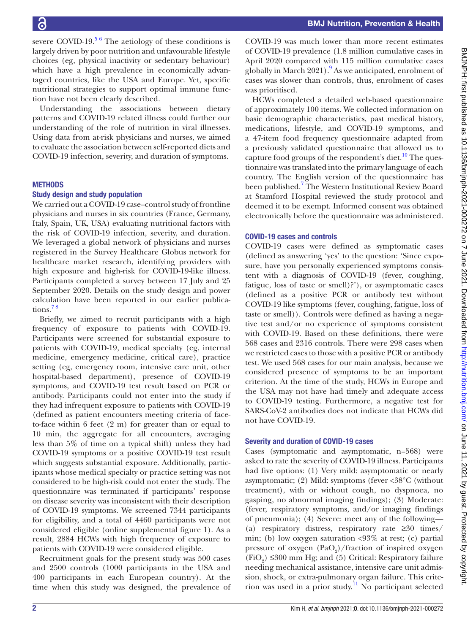severe COVID-19. $56$  The aetiology of these conditions is largely driven by poor nutrition and unfavourable lifestyle choices (eg, physical inactivity or sedentary behaviour) which have a high prevalence in economically advantaged countries, like the USA and Europe. Yet, specific nutritional strategies to support optimal immune function have not been clearly described.

Understanding the associations between dietary patterns and COVID-19 related illness could further our understanding of the role of nutrition in viral illnesses. Using data from at-risk physicians and nurses, we aimed to evaluate the association between self-reported diets and COVID-19 infection, severity, and duration of symptoms.

# **METHODS**

# Study design and study population

We carried out a COVID-19 case–control study of frontline physicians and nurses in six countries (France, Germany, Italy, Spain, UK, USA) evaluating nutritional factors with the risk of COVID-19 infection, severity, and duration. We leveraged a global network of physicians and nurses registered in the Survey Healthcare Globus network for healthcare market research, identifying providers with high exposure and high-risk for COVID-19-like illness. Participants completed a survey between 17 July and 25 September 2020. Details on the study design and power calculation have been reported in our earlier publications.<sup>78</sup>

Briefly, we aimed to recruit participants with a high frequency of exposure to patients with COVID-19. Participants were screened for substantial exposure to patients with COVID-19, medical specialty (eg, internal medicine, emergency medicine, critical care), practice setting (eg, emergency room, intensive care unit, other hospital-based department), presence of COVID-19 symptoms, and COVID-19 test result based on PCR or antibody. Participants could not enter into the study if they had infrequent exposure to patients with COVID-19 (defined as patient encounters meeting criteria of faceto-face within 6 feet (2 m) for greater than or equal to 10 min, the aggregate for all encounters, averaging less than 5% of time on a typical shift) unless they had COVID-19 symptoms or a positive COVID-19 test result which suggests substantial exposure. Additionally, participants whose medical specialty or practice setting was not considered to be high-risk could not enter the study. The questionnaire was terminated if participants' response on disease severity was inconsistent with their description of COVID-19 symptoms. We screened 7344 participants for eligibility, and a total of 4460 participants were not considered eligible ([online supplemental figure 1\)](https://dx.doi.org/10.1136/bmjnph-2021-000272). As a result, 2884 HCWs with high frequency of exposure to patients with COVID-19 were considered eligible.

Recruitment goals for the present study was 500 cases and 2500 controls (1000 participants in the USA and 400 participants in each European country). At the time when this study was designed, the prevalence of

COVID-19 was much lower than more recent estimates of COVID-19 prevalence (1.8 million cumulative cases in April 2020 compared with 115 million cumulative cases globally in March 2021).<sup>9</sup> As we anticipated, enrolment of cases was slower than controls, thus, enrolment of cases was prioritised.

HCWs completed a detailed web-based questionnaire of approximately 100 items. We collected information on basic demographic characteristics, past medical history, medications, lifestyle, and COVID-19 symptoms, and a 47-item food frequency questionnaire adapted from a previously validated questionnaire that allowed us to capture food groups of the respondent's diet.<sup>[10](#page-8-7)</sup> The questionnaire was translated into the primary language of each country. The English version of the questionnaire has been published.<sup>[7](#page-8-5)</sup> The Western Institutional Review Board at Stamford Hospital reviewed the study protocol and deemed it to be exempt. Informed consent was obtained electronically before the questionnaire was administered.

# COVID-19 cases and controls

COVID-19 cases were defined as symptomatic cases (defined as answering 'yes' to the question: 'Since exposure, have you personally experienced symptoms consistent with a diagnosis of COVID-19 (fever, coughing, fatigue, loss of taste or smell)?'), or asymptomatic cases (defined as a positive PCR or antibody test without COVID-19 like symptoms (fever, coughing, fatigue, loss of taste or smell)). Controls were defined as having a negative test and/or no experience of symptoms consistent with COVID-19. Based on these definitions, there were 568 cases and 2316 controls. There were 298 cases when we restricted cases to those with a positive PCR or antibody test. We used 568 cases for our main analysis, because we considered presence of symptoms to be an important criterion. At the time of the study, HCWs in Europe and the USA may not have had timely and adequate access to COVID-19 testing. Furthermore, a negative test for SARS-CoV-2 antibodies does not indicate that HCWs did not have COVID-19.

# Severity and duration of COVID-19 cases

Cases (symptomatic and asymptomatic, n=568) were asked to rate the severity of COVID-19 illness. Participants had five options: (1) Very mild: asymptomatic or nearly asymptomatic; (2) Mild: symptoms (fever <38°C (without treatment), with or without cough, no dyspnoea, no gasping, no abnormal imaging findings); (3) Moderate: (fever, respiratory symptoms, and/or imaging findings of pneumonia); (4) Severe: meet any of the following— (a) respiratory distress, respiratory rate ≥30 times/ min; (b) low oxygen saturation <93% at rest; (c) partial pressure of oxygen  $(PaO<sub>2</sub>)/fraction$  of inspired oxygen (FiO<sub>2</sub>) ≤300 mm Hg; and (5) Critical: Respiratory failure needing mechanical assistance, intensive care unit admission, shock, or extra-pulmonary organ failure. This criterion was used in a prior study.<sup>11</sup> No participant selected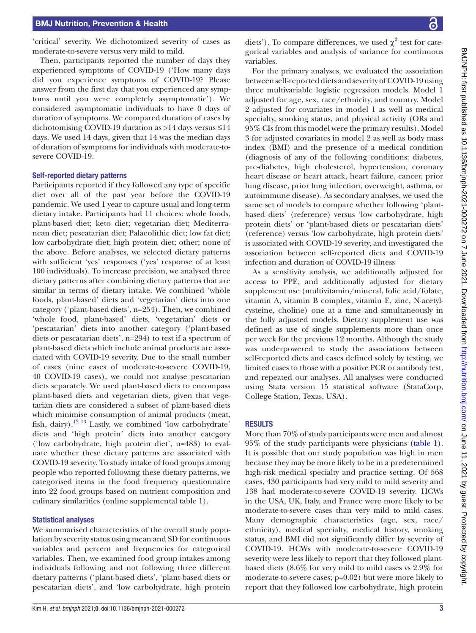'critical' severity. We dichotomized severity of cases as moderate-to-severe versus very mild to mild.

Then, participants reported the number of days they experienced symptoms of COVID-19 ('How many days did you experience symptoms of COVID-19? Please answer from the first day that you experienced any symptoms until you were completely asymptomatic'). We considered asymptomatic individuals to have 0 days of duration of symptoms. We compared duration of cases by dichotomising COVID-19 duration as >14 days versus ≤14 days. We used 14 days, given that 14 was the median days of duration of symptoms for individuals with moderate-tosevere COVID-19.

## Self-reported dietary patterns

Participants reported if they followed any type of specific diet over all of the past year before the COVID-19 pandemic. We used 1 year to capture usual and long-term dietary intake. Participants had 11 choices: whole foods, plant-based diet; keto diet; vegetarian diet; Mediterranean diet; pescatarian diet; Palaeolithic diet; low fat diet; low carbohydrate diet; high protein diet; other; none of the above. Before analyses, we selected dietary patterns with sufficient 'yes' responses ('yes' response of at least 100 individuals). To increase precision, we analysed three dietary patterns after combining dietary patterns that are similar in terms of dietary intake. We combined 'whole foods, plant-based' diets and 'vegetarian' diets into one category ('plant-based diets', n=254). Then, we combined 'whole food, plant-based' diets, 'vegetarian' diets or 'pescatarian' diets into another category ('plant-based diets or pescatarian diets', n=294) to test if a spectrum of plant-based diets which include animal products are associated with COVID-19 severity. Due to the small number of cases (nine cases of moderate-to-severe COVID-19, 40 COVID-19 cases), we could not analyse pescatarian diets separately. We used plant-based diets to encompass plant-based diets and vegetarian diets, given that vegetarian diets are considered a subset of plant-based diets which minimise consumption of animal products (meat, fish, dairy).<sup>12 13</sup> Lastly, we combined 'low carbohydrate' diets and 'high protein' diets into another category ('low carbohydrate, high protein diet', n=483) to evaluate whether these dietary patterns are associated with COVID-19 severity. To study intake of food groups among people who reported following these dietary patterns, we categorised items in the food frequency questionnaire into 22 food groups based on nutrient composition and culinary similarities [\(online supplemental table 1\)](https://dx.doi.org/10.1136/bmjnph-2021-000272).

#### Statistical analyses

We summarised characteristics of the overall study population by severity status using mean and SD for continuous variables and percent and frequencies for categorical variables. Then, we examined food group intakes among individuals following and not following three different dietary patterns ('plant-based diets', 'plant-based diets or pescatarian diets', and 'low carbohydrate, high protein

diets'). To compare differences, we used  $\chi^2$  test for categorical variables and analysis of variance for continuous variables.

For the primary analyses, we evaluated the association between self-reported diets and severity of COVID-19 using three multivariable logistic regression models. Model 1 adjusted for age, sex, race/ethnicity, and country. Model 2 adjusted for covariates in model 1 as well as medical specialty, smoking status, and physical activity (ORs and 95% CIs from this model were the primary results). Model 3 for adjusted covariates in model 2 as well as body mass index (BMI) and the presence of a medical condition (diagnosis of any of the following conditions: diabetes, pre-diabetes, high cholesterol, hypertension, coronary heart disease or heart attack, heart failure, cancer, prior lung disease, prior lung infection, overweight, asthma, or autoimmune disease). As secondary analyses, we used the same set of models to compare whether following 'plantbased diets' (reference) versus 'low carbohydrate, high protein diets' or 'plant-based diets or pescatarian diets' (reference) versus 'low carbohydrate, high protein diets' is associated with COVID-19 severity, and investigated the association between self-reported diets and COVID-19 infection and duration of COVID-19 illness

As a sensitivity analysis, we additionally adjusted for access to PPE, and additionally adjusted for dietary supplement use (multivitamin/mineral, folic acid/folate, vitamin A, vitamin B complex, vitamin E, zinc, N-acetylcysteine, choline) one at a time and simultaneously in the fully adjusted models. Dietary supplement use was defined as use of single supplements more than once per week for the previous 12 months. Although the study was underpowered to study the associations between self-reported diets and cases defined solely by testing, we limited cases to those with a positive PCR or antibody test, and repeated our analyses. All analyses were conducted using Stata version 15 statistical software (StataCorp, College Station, Texas, USA).

#### RESULTS

More than 70% of study participants were men and almost 95% of the study participants were physicians ([table](#page-3-0) 1). It is possible that our study population was high in men because they may be more likely to be in a predetermined high-risk medical specialty and practice setting. Of 568 cases, 430 participants had very mild to mild severity and 138 had moderate-to-severe COVID-19 severity. HCWs in the USA, UK, Italy, and France were more likely to be moderate-to-severe cases than very mild to mild cases. Many demographic characteristics (age, sex, race/ ethnicity), medical specialty, medical history, smoking status, and BMI did not significantly differ by severity of COVID-19. HCWs with moderate-to-severe COVID-19 severity were less likely to report that they followed plantbased diets (8.6% for very mild to mild cases vs 2.9% for moderate-to-severe cases; p=0.02) but were more likely to report that they followed low carbohydrate, high protein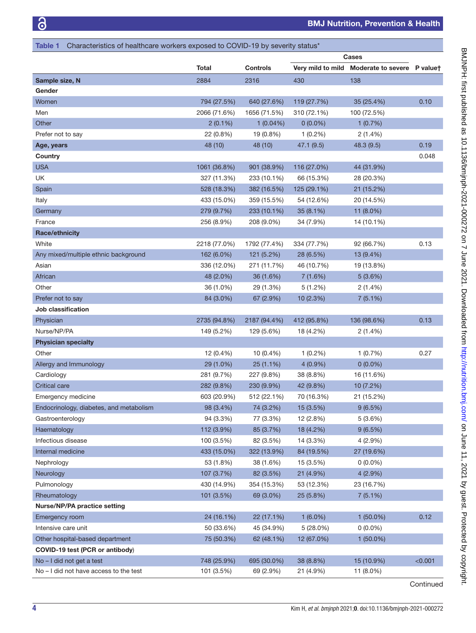<span id="page-3-0"></span>

|                                         |              |                 | Cases             |                    |          |
|-----------------------------------------|--------------|-----------------|-------------------|--------------------|----------|
|                                         | <b>Total</b> | <b>Controls</b> | Very mild to mild | Moderate to severe | P valuet |
| Sample size, N                          | 2884         | 2316            | 430               | 138                |          |
| Gender                                  |              |                 |                   |                    |          |
| Women                                   | 794 (27.5%)  | 640 (27.6%)     | 119 (27.7%)       | 35 (25.4%)         | 0.10     |
| Men                                     | 2066 (71.6%) | 1656 (71.5%)    | 310 (72.1%)       | 100 (72.5%)        |          |
| Other                                   | $2(0.1\%)$   | $1(0.04\%)$     | $0(0.0\%)$        | 1(0.7%)            |          |
| Prefer not to say                       | 22 (0.8%)    | 19 (0.8%)       | $1(0.2\%)$        | $2(1.4\%)$         |          |
| Age, years                              | 48 (10)      | 48 (10)         | 47.1(9.5)         | 48.3 (9.5)         | 0.19     |
| Country                                 |              |                 |                   |                    | 0.048    |
| <b>USA</b>                              | 1061 (36.8%) | 901 (38.9%)     | 116 (27.0%)       | 44 (31.9%)         |          |
| UK                                      | 327 (11.3%)  | 233 (10.1%)     | 66 (15.3%)        | 28 (20.3%)         |          |
| Spain                                   | 528 (18.3%)  | 382 (16.5%)     | 125 (29.1%)       | 21 (15.2%)         |          |
| Italy                                   | 433 (15.0%)  | 359 (15.5%)     | 54 (12.6%)        | 20 (14.5%)         |          |
| Germany                                 | 279 (9.7%)   | 233 (10.1%)     | 35 (8.1%)         | 11 (8.0%)          |          |
| France                                  | 256 (8.9%)   | 208 (9.0%)      | 34 (7.9%)         | 14 (10.1%)         |          |
| Race/ethnicity                          |              |                 |                   |                    |          |
| White                                   | 2218 (77.0%) | 1792 (77.4%)    | 334 (77.7%)       | 92 (66.7%)         | 0.13     |
| Any mixed/multiple ethnic background    | 162 (6.0%)   | 121 (5.2%)      | 28 (6.5%)         | 13 (9.4%)          |          |
| Asian                                   | 336 (12.0%)  | 271 (11.7%)     | 46 (10.7%)        | 19 (13.8%)         |          |
| African                                 | 48 (2.0%)    | 36 (1.6%)       | 7(1.6%)           | 5(3.6%)            |          |
| Other                                   | 36 (1.0%)    | 29 (1.3%)       | 5(1.2%)           | $2(1.4\%)$         |          |
| Prefer not to say                       | 84 (3.0%)    | 67 (2.9%)       | 10 (2.3%)         | 7(5.1%)            |          |
| Job classification                      |              |                 |                   |                    |          |
| Physician                               | 2735 (94.8%) | 2187 (94.4%)    | 412 (95.8%)       | 136 (98.6%)        | 0.13     |
| Nurse/NP/PA                             | 149 (5.2%)   | 129 (5.6%)      | 18 (4.2%)         | 2(1.4%)            |          |
| <b>Physician specialty</b>              |              |                 |                   |                    |          |
| Other                                   | 12 (0.4%)    | 10 (0.4%)       | $1(0.2\%)$        | 1(0.7%)            | 0.27     |
| Allergy and Immunology                  | 29 (1.0%)    | 25 (1.1%)       | $4(0.9\%)$        | $0(0.0\%)$         |          |
| Cardiology                              | 281 (9.7%)   | 227 (9.8%)      | 38 (8.8%)         | 16 (11.6%)         |          |
| <b>Critical care</b>                    | 282 (9.8%)   | 230 (9.9%)      | 42 (9.8%)         | 10 (7.2%)          |          |
| Emergency medicine                      | 603 (20.9%)  | 512 (22.1%)     | 70 (16.3%)        | 21 (15.2%)         |          |
| Endocrinology, diabetes, and metabolism | 98 (3.4%)    | 74 (3.2%)       | 15 (3.5%)         | 9(6.5%)            |          |
| Gastroenterology                        | 94 (3.3%)    | 77 (3.3%)       | 12 (2.8%)         | 5(3.6%)            |          |
| Haematology                             | 112 (3.9%)   | 85 (3.7%)       | 18 (4.2%)         | 9(6.5%)            |          |
| Infectious disease                      | 100 (3.5%)   | 82 (3.5%)       | 14 (3.3%)         | 4 (2.9%)           |          |
| Internal medicine                       | 433 (15.0%)  | 322 (13.9%)     | 84 (19.5%)        | 27 (19.6%)         |          |
| Nephrology                              | 53 (1.8%)    | 38 (1.6%)       | 15 (3.5%)         | $0(0.0\%)$         |          |
| Neurology                               | 107 (3.7%)   | 82 (3.5%)       | 21 (4.9%)         | 4(2.9%)            |          |
| Pulmonology                             | 430 (14.9%)  | 354 (15.3%)     | 53 (12.3%)        | 23 (16.7%)         |          |
| Rheumatology                            | 101 (3.5%)   | 69 (3.0%)       | 25 (5.8%)         | 7(5.1%)            |          |
| Nurse/NP/PA practice setting            |              |                 |                   |                    |          |
| Emergency room                          | 24 (16.1%)   | 22 (17.1%)      | $1(6.0\%)$        | $1(50.0\%)$        | 0.12     |
| Intensive care unit                     | 50 (33.6%)   | 45 (34.9%)      | 5 (28.0%)         | $0(0.0\%)$         |          |
| Other hospital-based department         | 75 (50.3%)   | 62 (48.1%)      | 12 (67.0%)        | $1(50.0\%)$        |          |
| COVID-19 test (PCR or antibody)         |              |                 |                   |                    |          |
| No - I did not get a test               | 748 (25.9%)  | 695 (30.0%)     | 38 (8.8%)         | 15 (10.9%)         | < 0.001  |
| No - I did not have access to the test  | 101 (3.5%)   | 69 (2.9%)       | 21 (4.9%)         | 11 (8.0%)          |          |

Continued

on June 11, 2021 by guest. Protected by copyright. <http://nutrition.bmj.com/> BMJNPH: first published as 10.1136/bmjnph-2021-000272 on 7 June 2021. Downloaded from

BMJNPH: first published as 10.1136/bminph-2021-000272 on 7 June 2021. Downloaded from http://nutrition.bmj.com/ on June 11, 2021 by guest. Protected by copyright.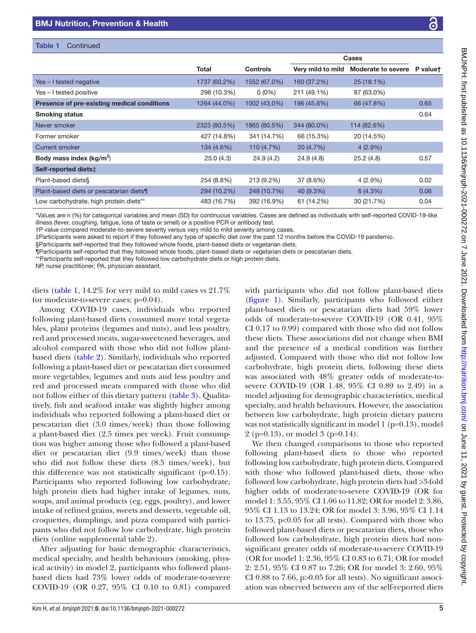| Table 1<br>Continued                        |              |                 |                   |                    |          |
|---------------------------------------------|--------------|-----------------|-------------------|--------------------|----------|
|                                             |              |                 | Cases             |                    |          |
|                                             | <b>Total</b> | <b>Controls</b> | Very mild to mild | Moderate to severe | P valuet |
| Yes - I tested negative                     | 1737 (60.2%) | 1552 (67.0%)    | 160 (37.2%)       | $25(18.1\%)$       |          |
| Yes - I tested positive                     | 298 (10.3%)  | $0(0\%)$        | 211 (49.1%)       | 87 (63.0%)         |          |
| Presence of pre-existing medical conditions | 1264 (44.0%) | 1002 (43.0%)    | 196 (45.6%)       | 66 (47.8%)         | 0.65     |
| <b>Smoking status</b>                       |              |                 |                   |                    | 0.64     |
| Never smoker                                | 2323 (80.5%) | 1865 (80.5%)    | 344 (80.0%)       | 114 (82.6%)        |          |
| Former smoker                               | 427 (14.8%)  | 341 (14.7%)     | 66 (15.3%)        | 20 (14.5%)         |          |
| Current smoker                              | 134 (4.6%)   | 110 (4.7%)      | 20 (4.7%)         | $4(2.9\%)$         |          |
| Body mass index $(kg/m^2)$                  | 25.0(4.3)    | 24.9(4.2)       | 24.9(4.8)         | 25.2(4.8)          | 0.57     |
| Self-reported diets:                        |              |                 |                   |                    |          |
| Plant-based diets§                          | 254 (8.8%)   | 213 (9.2%)      | 37 (8.6%)         | $4(2.9\%)$         | 0.02     |
| Plant-based diets or pescatarian diets¶     | 294 (10.2%)  | 248 (10.7%)     | 40 (9.3%)         | 6(4.3%)            | 0.06     |
| Low carbohydrate, high protein diets**      | 483 (16.7%)  | 392 (16.9%)     | 61 (14.2%)        | 30 (21.7%)         | 0.04     |

\*Values are n (%) for categorical variables and mean (SD) for continuous variables. Cases are defined as individuals with self-reported COVID-19-like illness (fever, coughing, fatigue, loss of taste or smell) or a positive PCR or antibody test.

†P value compared moderate-to-severe severity versus very mild to mild severity among cases.

‡Participants were asked to report if they followed any type of specific diet over the past 12 months before the COVID-19 pandemic.

§Participants self-reported that they followed whole foods, plant-based diets or vegetarian diets.

¶Participants self-reported that they followed whole foods, plant-based diets or vegetarian diets or pescatarian diets.

\*\*Participants self-reported that they followed low carbohydrate diets or high protein diets.

NP, nurse practitioner; PA, physician assistant.

diets [\(table](#page-3-0) 1, 14.2% for very mild to mild cases vs 21.7% for moderate-to-severe cases; p=0.04).

Among COVID-19 cases, individuals who reported following plant-based diets consumed more total vegetables, plant proteins (legumes and nuts), and less poultry, red and processed meats, sugar-sweetened beverages, and alcohol compared with those who did not follow plantbased diets [\(table](#page-5-0) 2). Similarly, individuals who reported following a plant-based diet or pescatarian diet consumed more vegetables, legumes and nuts and less poultry and red and processed meats compared with those who did not follow either of this dietary pattern [\(table](#page-5-1) 3). Qualitatively, fish and seafood intake was slightly higher among individuals who reported following a plant-based diet or pescatarian diet (3.0 times/week) than those following a plant-based diet (2.5 times per week). Fruit consumption was higher among those who followed a plant-based diet or pescatarian diet (9.9 times/week) than those who did not follow these diets (8.5 times/week), but this difference was not statistically significant (p=0.15). Participants who reported following low carbohydrate, high protein diets had higher intake of legumes, nuts, soups, and animal products (eg, eggs, poultry), and lower intake of refined grains, sweets and desserts, vegetable oil, croquettes, dumplings, and pizza compared with participants who did not follow low carbohydrate, high protein diets ([online supplemental table 2\)](https://dx.doi.org/10.1136/bmjnph-2021-000272).

After adjusting for basic demographic characteristics, medical specialty, and health behaviours (smoking, physical activity) in model 2, participants who followed plantbased diets had 73% lower odds of moderate-to-severe COVID-19 (OR 0.27, 95% CI 0.10 to 0.81) compared with participants who did not follow plant-based diets [\(figure](#page-6-0) 1). Similarly, participants who followed either plant-based diets or pescatarian diets had 59% lower odds of moderate-to-severe COVID-19 (OR 0.41, 95% CI 0.17 to 0.99) compared with those who did not follow these diets. These associations did not change when BMI and the presence of a medical condition was further adjusted. Compared with those who did not follow low carbohydrate, high protein diets, following these diets was associated with 48% greater odds of moderate-tosevere COVID-19 (OR 1.48, 95% CI 0.89 to 2.49) in a model adjusting for demographic characteristics, medical specialty, and health behaviours. However, the association between low carbohydrate, high protein dietary pattern was not statistically significant in model 1 (p=0.13), model 2 (p=0.13), or model 3 (p=0.14).

We then changed comparisons to those who reported following plant-based diets to those who reported following low carbohydrate, high protein diets. Compared with those who followed plant-based diets, those who followed low carbohydrate, high protein diets had >3-fold higher odds of moderate-to-severe COVID-19 (OR for model 1: 3.55, 95% CI 1.06 to 11.82; OR for model 2: 3.86, 95% CI 1.13 to 13.24; OR for model 3: 3.96, 95% CI 1.14 to 13.75, p<0.05 for all tests). Compared with those who followed plant-based diets or pescatarian diets, those who followed low carbohydrate, high protein diets had nonsignificant greater odds of moderate-to-severe COVID-19 (OR for model 1: 2.36, 95% CI 0.83 to 6.71; OR for model 2: 2.51, 95% CI 0.87 to 7.26; OR for model 3: 2.60, 95% CI 0.88 to 7.66, p>0.05 for all tests). No significant association was observed between any of the self-reported diets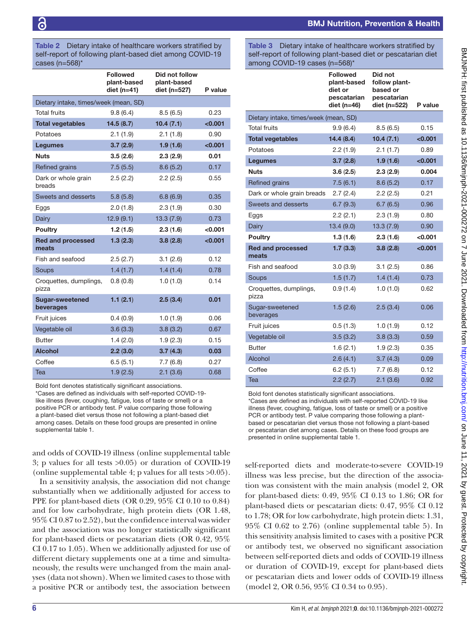#### <span id="page-5-0"></span>Table 2 Dietary intake of healthcare workers stratified by self-report of following plant-based diet among COVID-19  $Case (n-568)$ <sup>\*</sup>

| .                                     |                                                   |                                               |         |  |  |
|---------------------------------------|---------------------------------------------------|-----------------------------------------------|---------|--|--|
|                                       | <b>Followed</b><br>plant-based<br>diet ( $n=41$ ) | Did not follow<br>plant-based<br>diet (n=527) | P value |  |  |
| Dietary intake, times/week (mean, SD) |                                                   |                                               |         |  |  |
| <b>Total fruits</b>                   | 9.8(6.4)                                          | 8.5(6.5)                                      | 0.23    |  |  |
| <b>Total vegetables</b>               | 14.5(8.7)                                         | 10.4(7.1)                                     | < 0.001 |  |  |
| Potatoes                              | 2.1(1.9)                                          | 2.1(1.8)                                      | 0.90    |  |  |
| <b>Legumes</b>                        | 3.7(2.9)                                          | 1.9(1.6)                                      | < 0.001 |  |  |
| Nuts                                  | 3.5(2.6)                                          | 2.3(2.9)                                      | 0.01    |  |  |
| Refined grains                        | 7.5(5.5)                                          | 8.6(5.2)                                      | 0.17    |  |  |
| Dark or whole grain<br>breads         | 2.5(2.2)                                          | 2.2(2.5)                                      | 0.55    |  |  |
| Sweets and desserts                   | 5.8(5.8)                                          | 6.8(6.9)                                      | 0.35    |  |  |
| Eggs                                  | 2.0(1.8)                                          | 2.3(1.9)                                      | 0.30    |  |  |
| Dairy                                 | 12.9(9.1)                                         | 13.3(7.9)                                     | 0.73    |  |  |
| Poultry                               | 1.2(1.5)                                          | 2.3(1.6)                                      | < 0.001 |  |  |
| <b>Red and processed</b><br>meats     | 1.3(2.3)                                          | 3.8(2.8)                                      | < 0.001 |  |  |
| Fish and seafood                      | 2.5(2.7)                                          | 3.1(2.6)                                      | 0.12    |  |  |
| Soups                                 | 1.4(1.7)                                          | 1.4(1.4)                                      | 0.78    |  |  |
| Croquettes, dumplings,<br>pizza       | 0.8(0.8)                                          | 1.0(1.0)                                      | 0.14    |  |  |
| <b>Sugar-sweetened</b><br>beverages   | 1.1(2.1)                                          | 2.5(3.4)                                      | 0.01    |  |  |
| Fruit juices                          | 0.4(0.9)                                          | 1.0(1.9)                                      | 0.06    |  |  |
| Vegetable oil                         | 3.6(3.3)                                          | 3.8(3.2)                                      | 0.67    |  |  |
| <b>Butter</b>                         | 1.4(2.0)                                          | 1.9(2.3)                                      | 0.15    |  |  |
| <b>Alcohol</b>                        | 2.2(3.0)                                          | 3.7(4.3)                                      | 0.03    |  |  |
| Coffee                                | 6.5(5.1)                                          | 7.7(6.8)                                      | 0.27    |  |  |
| Tea                                   | 1.9(2.5)                                          | 2.1(3.6)                                      | 0.68    |  |  |

Bold font denotes statistically significant associations. \*Cases are defined as individuals with self-reported COVID-19 like illness (fever, coughing, fatigue, loss of taste or smell) or a positive PCR or antibody test. P value comparing those following a plant-based diet versus those not following a plant-based diet among cases. Details on these food groups are presented in [online](https://dx.doi.org/10.1136/bmjnph-2021-000272)  [supplemental table 1](https://dx.doi.org/10.1136/bmjnph-2021-000272).

and odds of COVID-19 illness ([online supplemental table](https://dx.doi.org/10.1136/bmjnph-2021-000272) [3;](https://dx.doi.org/10.1136/bmjnph-2021-000272) p values for all tests >0.05) or duration of COVID-19 ([online supplemental table 4](https://dx.doi.org/10.1136/bmjnph-2021-000272); p values for all tests >0.05).

In a sensitivity analysis, the association did not change substantially when we additionally adjusted for access to PPE for plant-based diets (OR 0.29, 95% CI 0.10 to 0.84) and for low carbohydrate, high protein diets (OR 1.48, 95% CI 0.87 to 2.52), but the confidence interval was wider and the association was no longer statistically significant for plant-based diets or pescatarian diets (OR 0.42, 95% CI 0.17 to 1.05). When we additionally adjusted for use of different dietary supplements one at a time and simultaneously, the results were unchanged from the main analyses (data not shown). When we limited cases to those with a positive PCR or antibody test, the association between

# BMJ Nutrition, Prevention & Health

<span id="page-5-1"></span>Table 3 Dietary intake of healthcare workers stratified by self-report of following plant-based diet or pescatarian diet  $\overline{a}$  COVID-10 cases (n=569)\*

| $\alpha$ $\beta$ $\alpha$ $\beta$ $\beta$ $\beta$ $\beta$ $\alpha$ $\beta$ $\beta$ $\beta$ $\beta$ $\beta$ $\beta$ $\beta$ |                                                                             |                                                                     |         |  |  |
|----------------------------------------------------------------------------------------------------------------------------|-----------------------------------------------------------------------------|---------------------------------------------------------------------|---------|--|--|
|                                                                                                                            | <b>Followed</b><br>plant-based<br>diet or<br>pescatarian<br>diet ( $n=46$ ) | Did not<br>follow plant-<br>based or<br>pescatarian<br>diet (n=522) | P value |  |  |
| Dietary intake, times/week (mean, SD)                                                                                      |                                                                             |                                                                     |         |  |  |
| <b>Total fruits</b>                                                                                                        | 9.9(6.4)                                                                    | 8.5(6.5)                                                            | 0.15    |  |  |
| <b>Total vegetables</b>                                                                                                    | 14.4(8.4)                                                                   | 10.4(7.1)                                                           | < 0.001 |  |  |
| Potatoes                                                                                                                   | 2.2(1.9)                                                                    | 2.1(1.7)                                                            | 0.89    |  |  |
| <b>Legumes</b>                                                                                                             | 3.7(2.8)                                                                    | 1.9(1.6)                                                            | < 0.001 |  |  |
| <b>Nuts</b>                                                                                                                | 3.6(2.5)                                                                    | 2.3(2.9)                                                            | 0.004   |  |  |
| Refined grains                                                                                                             | 7.5(6.1)                                                                    | 8.6(5.2)                                                            | 0.17    |  |  |
| Dark or whole grain breads                                                                                                 | 2.7(2.4)                                                                    | 2.2(2.5)                                                            | 0.21    |  |  |
| Sweets and desserts                                                                                                        | 6.7(9.3)                                                                    | 6.7(6.5)                                                            | 0.96    |  |  |
| Eggs                                                                                                                       | 2.2(2.1)                                                                    | 2.3(1.9)                                                            | 0.80    |  |  |
| Dairy                                                                                                                      | 13.4(9.0)                                                                   | 13.3(7.9)                                                           | 0.90    |  |  |
| Poultry                                                                                                                    | 1.3(1.6)                                                                    | 2.3(1.6)                                                            | < 0.001 |  |  |
| <b>Red and processed</b><br>meats                                                                                          | 1.7(3.3)                                                                    | 3.8(2.8)                                                            | < 0.001 |  |  |
| Fish and seafood                                                                                                           | 3.0(3.9)                                                                    | 3.1(2.5)                                                            | 0.86    |  |  |
| Soups                                                                                                                      | 1.5(1.7)                                                                    | 1.4(1.4)                                                            | 0.73    |  |  |
| Croquettes, dumplings,<br>pizza                                                                                            | 0.9(1.4)                                                                    | 1.0(1.0)                                                            | 0.62    |  |  |
| Sugar-sweetened<br>beverages                                                                                               | 1.5(2.6)                                                                    | 2.5(3.4)                                                            | 0.06    |  |  |
| Fruit juices                                                                                                               | 0.5(1.3)                                                                    | 1.0(1.9)                                                            | 0.12    |  |  |
| Vegetable oil                                                                                                              | 3.5(3.2)                                                                    | 3.8(3.3)                                                            | 0.59    |  |  |
| <b>Butter</b>                                                                                                              | 1.6(2.1)                                                                    | 1.9(2.3)                                                            | 0.35    |  |  |
| Alcohol                                                                                                                    | 2.6(4.1)                                                                    | 3.7(4.3)                                                            | 0.09    |  |  |
| Coffee                                                                                                                     | 6.2(5.1)                                                                    | 7.7(6.8)                                                            | 0.12    |  |  |
| Tea                                                                                                                        | 2.2(2.7)                                                                    | 2.1(3.6)                                                            | 0.92    |  |  |

Bold font denotes statistically significant associations.

\*Cases are defined as individuals with self-reported COVID-19 like illness (fever, coughing, fatigue, loss of taste or smell) or a positive PCR or antibody test. P value comparing those following a plantbased or pescatarian diet versus those not following a plant-based or pescatarian diet among cases. Details on these food groups are presented in [online supplemental table 1](https://dx.doi.org/10.1136/bmjnph-2021-000272).

self-reported diets and moderate-to-severe COVID-19 illness was less precise, but the direction of the association was consistent with the main analysis (model 2, OR for plant-based diets: 0.49, 95% CI 0.13 to 1.86; OR for plant-based diets or pescatarian diets: 0.47, 95% CI 0.12 to 1.78; OR for low carbohydrate, high protein diets: 1.31, 95% CI 0.62 to 2.76) [\(online supplemental table 5](https://dx.doi.org/10.1136/bmjnph-2021-000272)). In this sensitivity analysis limited to cases with a positive PCR or antibody test, we observed no significant association between self-reported diets and odds of COVID-19 illness or duration of COVID-19, except for plant-based diets or pescatarian diets and lower odds of COVID-19 illness (model 2, OR 0.56, 95% CI 0.34 to 0.95).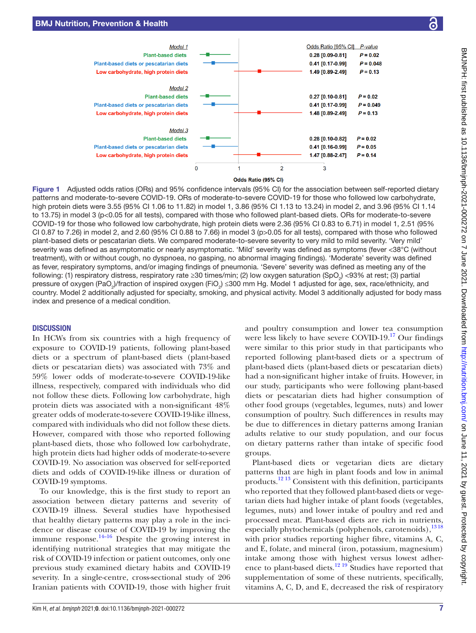

<span id="page-6-0"></span>Figure 1 Adjusted odds ratios (ORs) and 95% confidence intervals (95% CI) for the association between self-reported dietary patterns and moderate-to-severe COVID-19. ORs of moderate-to-severe COVID-19 for those who followed low carbohydrate, high protein diets were 3.55 (95% CI 1.06 to 11.82) in model 1, 3.86 (95% CI 1.13 to 13.24) in model 2, and 3.96 (95% CI 1.14 to 13.75) in model 3 (p<0.05 for all tests), compared with those who followed plant-based diets. ORs for moderate-to-severe COVID-19 for those who followed low carbohydrate, high protein diets were 2.36 (95% CI 0.83 to 6.71) in model 1, 2.51 (95% CI 0.87 to 7.26) in model 2, and 2.60 (95% CI 0.88 to 7.66) in model 3 (p>0.05 for all tests), compared with those who followed plant-based diets or pescatarian diets. We compared moderate-to-severe severity to very mild to mild severity. 'Very mild' severity was defined as asymptomatic or nearly asymptomatic. 'Mild' severity was defined as symptoms (fever <38°C (without treatment), with or without cough, no dyspnoea, no gasping, no abnormal imaging findings). 'Moderate' severity was defined as fever, respiratory symptoms, and/or imaging findings of pneumonia. 'Severe' severity was defined as meeting any of the following: (1) respiratory distress, respiratory rate ≥30 times/min; (2) low oxygen saturation (SpO<sub>2</sub>) <93% at rest; (3) partial pressure of oxygen (PaO<sub>2</sub>)/fraction of inspired oxygen (FiO<sub>2</sub>) ≤300 mm Hg. Model 1 adjusted for age, sex, race/ethnicity, and country. Model 2 additionally adjusted for specialty, smoking, and physical activity. Model 3 additionally adjusted for body mass index and presence of a medical condition.

#### **DISCUSSION**

In HCWs from six countries with a high frequency of exposure to COVID-19 patients, following plant-based diets or a spectrum of plant-based diets (plant-based diets or pescatarian diets) was associated with 73% and 59% lower odds of moderate-to-severe COVID-19-like illness, respectively, compared with individuals who did not follow these diets. Following low carbohydrate, high protein diets was associated with a non-significant 48% greater odds of moderate-to-severe COVID-19-like illness, compared with individuals who did not follow these diets. However, compared with those who reported following plant-based diets, those who followed low carbohydrate, high protein diets had higher odds of moderate-to-severe COVID-19. No association was observed for self-reported diets and odds of COVID-19-like illness or duration of COVID-19 symptoms.

To our knowledge, this is the first study to report an association between dietary patterns and severity of COVID-19 illness. Several studies have hypothesised that healthy dietary patterns may play a role in the incidence or disease course of COVID-19 by improving the immune response. $14-16$  Despite the growing interest in identifying nutritional strategies that may mitigate the risk of COVID-19 infection or patient outcomes, only one previous study examined dietary habits and COVID-19 severity. In a single-centre, cross-sectional study of 206 Iranian patients with COVID-19, those with higher fruit

and poultry consumption and lower tea consumption were less likely to have severe COVID-19.<sup>17</sup> Our findings were similar to this prior study in that participants who reported following plant-based diets or a spectrum of plant-based diets (plant-based diets or pescatarian diets) had a non-significant higher intake of fruits. However, in our study, participants who were following plant-based diets or pescatarian diets had higher consumption of other food groups (vegetables, legumes, nuts) and lower consumption of poultry. Such differences in results may be due to differences in dietary patterns among Iranian adults relative to our study population, and our focus on dietary patterns rather than intake of specific food groups.

Plant-based diets or vegetarian diets are dietary patterns that are high in plant foods and low in animal products.[12 13](#page-8-9) Consistent with this definition, participants who reported that they followed plant-based diets or vegetarian diets had higher intake of plant foods (vegetables, legumes, nuts) and lower intake of poultry and red and processed meat. Plant-based diets are rich in nutrients, especially phytochemicals (polyphenols, carotenoids),<sup>1318</sup> with prior studies reporting higher fibre, vitamins A, C, and E, folate, and mineral (iron, potassium, magnesium) intake among those with highest versus lowest adherence to plant-based diets.<sup>12 19</sup> Studies have reported that supplementation of some of these nutrients, specifically, vitamins A, C, D, and E, decreased the risk of respiratory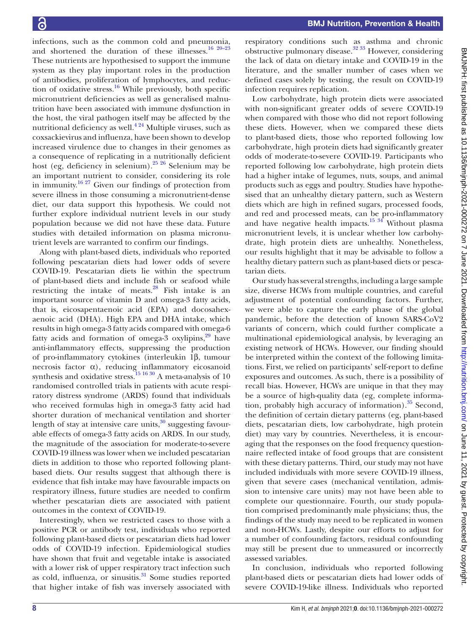infections, such as the common cold and pneumonia, and shortened the duration of these illnesses.<sup>16 20–23</sup> These nutrients are hypothesised to support the immune system as they play important roles in the production of antibodies, proliferation of lymphocytes, and reduction of oxidative stress.<sup>16</sup> While previously, both specific micronutrient deficiencies as well as generalised malnutrition have been associated with immune dysfunction in the host, the viral pathogen itself may be affected by the nutritional deficiency as well. $4^{24}$  Multiple viruses, such as coxsackievirus and influenza, have been shown to develop increased virulence due to changes in their genomes as a consequence of replicating in a nutritionally deficient host (eg, deficiency in selenium)[.25 26](#page-8-14) Selenium may be an important nutrient to consider, considering its role in immunity.<sup>16 27</sup> Given our findings of protection from severe illness in those consuming a micronutrient-dense diet, our data support this hypothesis. We could not further explore individual nutrient levels in our study population because we did not have these data. Future studies with detailed information on plasma micronutrient levels are warranted to confirm our findings.

Along with plant-based diets, individuals who reported following pescatarian diets had lower odds of severe COVID-19. Pescatarian diets lie within the spectrum of plant-based diets and include fish or seafood while restricting the intake of meats. $^{28}$  Fish intake is an important source of vitamin D and omega-3 fatty acids, that is, eicosapentaenoic acid (EPA) and docosahexaenoic acid (DHA). High EPA and DHA intake, which results in high omega-3 fatty acids compared with omega-6 fatty acids and formation of omega-3 oxylipins, $29$  have anti-inflammatory effects, suppressing the production of pro-inflammatory cytokines (interleukin 1β, tumour necrosis factor α), reducing inflammatory eicosanoid synthesis and oxidative stress.<sup>15 16 30</sup> A meta-analysis of 10 randomised controlled trials in patients with acute respiratory distress syndrome (ARDS) found that individuals who received formulas high in omega-3 fatty acid had shorter duration of mechanical ventilation and shorter length of stay at intensive care units, $30$  suggesting favourable effects of omega-3 fatty acids on ARDS. In our study, the magnitude of the association for moderate-to-severe COVID-19 illness was lower when we included pescatarian diets in addition to those who reported following plantbased diets. Our results suggest that although there is evidence that fish intake may have favourable impacts on respiratory illness, future studies are needed to confirm whether pescatarian diets are associated with patient outcomes in the context of COVID-19.

Interestingly, when we restricted cases to those with a positive PCR or antibody test, individuals who reported following plant-based diets or pescatarian diets had lower odds of COVID-19 infection. Epidemiological studies have shown that fruit and vegetable intake is associated with a lower risk of upper respiratory tract infection such as cold, influenza, or sinusitis. $31$  Some studies reported that higher intake of fish was inversely associated with

respiratory conditions such as asthma and chronic obstructive pulmonary disease.<sup>32</sup>  $33$  However, considering the lack of data on dietary intake and COVID-19 in the literature, and the smaller number of cases when we defined cases solely by testing, the result on COVID-19 infection requires replication.

Low carbohydrate, high protein diets were associated with non-significant greater odds of severe COVID-19 when compared with those who did not report following these diets. However, when we compared these diets to plant-based diets, those who reported following low carbohydrate, high protein diets had significantly greater odds of moderate-to-severe COVID-19. Participants who reported following low carbohydrate, high protein diets had a higher intake of legumes, nuts, soups, and animal products such as eggs and poultry. Studies have hypothesised that an unhealthy dietary pattern, such as Western diets which are high in refined sugars, processed foods, and red and processed meats, can be pro-inflammatory and have negative health impacts.<sup>15 34</sup> Without plasma micronutrient levels, it is unclear whether low carbohydrate, high protein diets are unhealthy. Nonetheless, our results highlight that it may be advisable to follow a healthy dietary pattern such as plant-based diets or pescatarian diets.

Our study has several strengths, including a large sample size, diverse HCWs from multiple countries, and careful adjustment of potential confounding factors. Further, we were able to capture the early phase of the global pandemic, before the detection of known SARS-CoV2 variants of concern, which could further complicate a multinational epidemiological analysis, by leveraging an existing network of HCWs. However, our finding should be interpreted within the context of the following limitations. First, we relied on participants' self-report to define exposures and outcomes. As such, there is a possibility of recall bias. However, HCWs are unique in that they may be a source of high-quality data (eg, complete information, probably high accuracy of information). $35$  Second, the definition of certain dietary patterns (eg, plant-based diets, pescatarian diets, low carbohydrate, high protein diet) may vary by countries. Nevertheless, it is encouraging that the responses on the food frequency questionnaire reflected intake of food groups that are consistent with these dietary patterns. Third, our study may not have included individuals with more severe COVID-19 illness, given that severe cases (mechanical ventilation, admission to intensive care units) may not have been able to complete our questionnaire. Fourth, our study population comprised predominantly male physicians; thus, the findings of the study may need to be replicated in women and non-HCWs. Lastly, despite our efforts to adjust for a number of confounding factors, residual confounding may still be present due to unmeasured or incorrectly assessed variables.

In conclusion, individuals who reported following plant-based diets or pescatarian diets had lower odds of severe COVID-19-like illness. Individuals who reported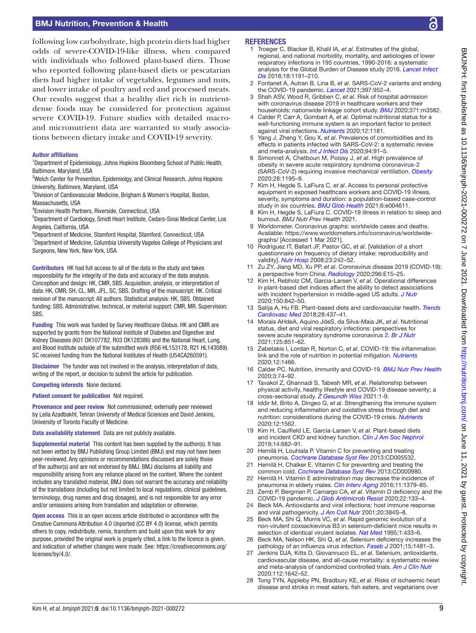# BMJ Nutrition, Prevention & Health

following low carbohydrate, high protein diets had higher odds of severe-COVID-19-like illness, when compared with individuals who followed plant-based diets. Those who reported following plant-based diets or pescatarian diets had higher intake of vegetables, legumes and nuts, and lower intake of poultry and red and processed meats. Our results suggest that a healthy diet rich in nutrientdense foods may be considered for protection against severe COVID-19. Future studies with detailed macroand micronutrient data are warranted to study associations between dietary intake and COVID-19 severity.

#### Author affiliations

<sup>1</sup>Department of Epidemiology, Johns Hopkins Bloomberg School of Public Health, Baltimore, Maryland, USA

<sup>2</sup>Welch Center for Prevention, Epidemiolgy, and Clinical Research, Johns Hopkins University, Baltimore, Maryland, USA

3 Division of Cardiovascular Medicine, Brigham & Women's Hospital, Boston, Massachusetts, USA

4 Envision Health Partners, Riverside, Connecticut, USA

5 Department of Cardiology, Smidt Heart Institute, Cedars-Sinai Medical Center, Los Angeles, California, USA

6 Department of Medicine, Stamford Hospital, Stamford, Connecticut, USA <sup>7</sup>Department of Medicine, Columbia University Vagelos College of Physicians and Surgeons, New York, New York, USA

Contributors HK had full access to all of the data in the study and takes responsibility for the integrity of the data and accuracy of the data analysis. Conception and design: HK, CMR, SBS. Acquisition, analysis, or interpretation of data: HK, CMR, SH, CL, MR, JFL, SC, SBS. Drafting of the manuscript: HK. Critical revision of the manuscript: All authors. Statistical analysis: HK, SBS. Obtained funding: SBS. Administrative, technical, or material support: CMR, MR. Supervision: **SBS** 

Funding This work was funded by Survey Healthcare Globus. HK and CMR are supported by grants from the National Institute of Diabetes and Digestive and Kidney Diseases (K01 DK107782, R03 DK128386) and the National Heart, Lung, and Blood Institute outside of the submitted work (R56 HL153178, R21 HL143089). SC received funding from the National Institutes of Health (U54CA260591).

Disclaimer The funder was not involved in the analysis, interpretation of data, writing of the report, or decision to submit the article for publication.

Competing interests None declared.

Patient consent for publication Not required.

Provenance and peer review Not commissioned; externally peer reviewed by Leila Azadbakht, Tehran University of Medical Sciences and David Jenkins, University of Toronto Faculty of Medicine.

Data availability statement Data are not publicly available.

Supplemental material This content has been supplied by the author(s). It has not been vetted by BMJ Publishing Group Limited (BMJ) and may not have been peer-reviewed. Any opinions or recommendations discussed are solely those of the author(s) and are not endorsed by BMJ. BMJ disclaims all liability and responsibility arising from any reliance placed on the content. Where the content includes any translated material, BMJ does not warrant the accuracy and reliability of the translations (including but not limited to local regulations, clinical guidelines, terminology, drug names and drug dosages), and is not responsible for any error and/or omissions arising from translation and adaptation or otherwise.

Open access This is an open access article distributed in accordance with the Creative Commons Attribution 4.0 Unported (CC BY 4.0) license, which permits others to copy, redistribute, remix, transform and build upon this work for any purpose, provided the original work is properly cited, a link to the licence is given, and indication of whether changes were made. See: [https://creativecommons.org/](https://creativecommons.org/licenses/by/4.0/) [licenses/by/4.0/.](https://creativecommons.org/licenses/by/4.0/)

#### **REFERENCES**

- <span id="page-8-0"></span>1 Troeger C, Blacker B, Khalil IA, *et al*. Estimates of the global, regional, and national morbidity, mortality, and aetiologies of lower respiratory infections in 195 countries, 1990-2016: a systematic analysis for the Global Burden of Disease study 2016. *[Lancet Infect](http://dx.doi.org/10.1016/S1473-3099(18)30310-4)  [Dis](http://dx.doi.org/10.1016/S1473-3099(18)30310-4)* 2018;18:1191–210.
- <span id="page-8-1"></span>2 Fontanet A, Autran B, Lina B, *et al*. SARS-CoV-2 variants and ending the COVID-19 pandemic. *[Lancet](http://dx.doi.org/10.1016/S0140-6736(21)00370-6)* 2021;397:952–4.
- <span id="page-8-2"></span>3 Shah ASV, Wood R, Gribben C, *et al*. Risk of hospital admission with coronavirus disease 2019 in healthcare workers and their households: nationwide linkage cohort study. *[BMJ](http://dx.doi.org/10.1136/bmj.m3582)* 2020;371:m3582.
- <span id="page-8-3"></span>4 Calder P, Carr A, Gombart A, *et al*. Optimal nutritional status for a well-functioning immune system is an important factor to protect against viral infections. *[Nutrients](http://dx.doi.org/10.3390/nu12041181)* 2020;12:1181.
- <span id="page-8-4"></span>Yang J, Zheng Y, Gou X, *et al*. Prevalence of comorbidities and its effects in patients infected with SARS-CoV-2: a systematic review and meta-analysis. *[Int J Infect Dis](http://dx.doi.org/10.1016/j.ijid.2020.03.017)* 2020;94:91–5.
- 6 Simonnet A, Chetboun M, Poissy J, *et al*. High prevalence of obesity in severe acute respiratory syndrome coronavirus-2 (SARS-CoV-2) requiring invasive mechanical ventilation. *[Obesity](http://dx.doi.org/10.1002/oby.22831)* 2020;28:1195–9.
- <span id="page-8-5"></span>7 Kim H, Hegde S, LaFiura C, *et al*. Access to personal protective equipment in exposed healthcare workers and COVID-19 illness, severity, symptoms and duration: a population-based case-control study in six countries. *[BMJ Glob Health](http://dx.doi.org/10.1136/bmjgh-2020-004611)* 2021;6:e004611.
- 8 Kim H, Hegde S, LaFiura C. COVID-19 illness in relation to sleep and burnout. *BMJ Nutr Prev Health* 2021.
- <span id="page-8-6"></span>9 Worldometer. Coronavirus graphs: worldwide cases and deaths. Available: [https://www.worldometers.info/coronavirus/worldwide](https://www.worldometers.info/coronavirus/worldwide-graphs/)[graphs/](https://www.worldometers.info/coronavirus/worldwide-graphs/) [Accessed 1 Mar 2021].
- <span id="page-8-7"></span>10 Rodríguez IT, Ballart JF, Pastor GC, *et al*. [Validation of a short questionnaire on frequency of dietary intake: reproducibility and validity]. *[Nutr Hosp](http://www.ncbi.nlm.nih.gov/pubmed/18560701)* 2008;23:242–52.
- <span id="page-8-8"></span>11 Zu ZY, Jiang MD, Xu PP, *et al*. Coronavirus disease 2019 (COVID-19): a perspective from China. *[Radiology](http://dx.doi.org/10.1148/radiol.2020200490)* 2020;296:E15–25.
- <span id="page-8-9"></span>12 Kim H, Rebholz CM, Garcia-Larsen V, *et al*. Operational differences in plant-based diet indices affect the ability to detect associations with incident hypertension in middle-aged US adults. *[J Nutr](http://dx.doi.org/10.1093/jn/nxz275)* 2020;150:842–50.
- <span id="page-8-12"></span>13 Satija A, Hu FB. Plant-based diets and cardiovascular health. *[Trends](http://dx.doi.org/10.1016/j.tcm.2018.02.004)  [Cardiovasc Med](http://dx.doi.org/10.1016/j.tcm.2018.02.004)* 2018;28:437–41.
- <span id="page-8-10"></span>14 Morais AHdeA, Aquino JdeS, da Silva-Maia JK, *et al*. Nutritional status, diet and viral respiratory infections: perspectives for severe acute respiratory syndrome coronavirus 2. *[Br J Nutr](http://dx.doi.org/10.1017/S0007114520003311)* 2021;125:851–62.
- <span id="page-8-16"></span>15 Zabetakis I, Lordan R, Norton C, *et al*. COVID-19: the inflammation link and the role of nutrition in potential mitigation. *[Nutrients](http://dx.doi.org/10.3390/nu12051466)* 2020;12:1466.
- <span id="page-8-13"></span>16 Calder PC. Nutrition, immunity and COVID-19. *[BMJ Nutr Prev Health](http://dx.doi.org/10.1136/bmjnph-2020-000085)* 2020;3:74–92.
- <span id="page-8-11"></span>17 Tavakol Z, Ghannadi S, Tabesh MR, *et al*. Relationship between physical activity, healthy lifestyle and COVID-19 disease severity; a cross-sectional study. *[Z Gesundh Wiss](http://dx.doi.org/10.1007/s10389-020-01468-9)* 2021:1-9.
- 18 Iddir M, Brito A, Dingeo G, *et al*. Strengthening the immune system and reducing inflammation and oxidative stress through diet and nutrition: considerations during the COVID-19 crisis. *[Nutrients](http://dx.doi.org/10.3390/nu12061562)* 2020;12:1562.
- 19 Kim H, Caulfield LE, Garcia-Larsen V, *et al*. Plant-based diets and incident CKD and kidney function. *[Clin J Am Soc Nephrol](http://dx.doi.org/10.2215/CJN.12391018)* 2019;14:682–91.
- 20 Hemilä H, Louhiala P. Vitamin C for preventing and treating pneumonia. *[Cochrane Database Syst Rev](http://dx.doi.org/10.1002/14651858.CD005532.pub3)* 2013:CD005532.
- 21 Hemilä H, Chalker E. Vitamin C for preventing and treating the common cold. *[Cochrane Database Syst Rev](http://dx.doi.org/10.1002/14651858.CD000980.pub4)* 2013:CD000980.
- 22 Hemilä H. Vitamin E administration may decrease the incidence of pneumonia in elderly males. *[Clin Interv Aging](http://dx.doi.org/10.2147/CIA.S114515)* 2016;11:1379–85.
- 23 Zemb P, Bergman P, Camargo CA, *et al*. Vitamin D deficiency and the COVID-19 pandemic. *[J Glob Antimicrob Resist](http://dx.doi.org/10.1016/j.jgar.2020.05.006)* 2020;22:133–4.
- 24 Beck MA. Antioxidants and viral infections: host immune response and viral pathogenicity. *[J Am Coll Nutr](http://dx.doi.org/10.1080/07315724.2001.10719172)* 2001;20:384S–8.
- <span id="page-8-14"></span>25 Beck MA, Shi Q, Morris VC, *et al*. Rapid genomic evolution of a non-virulent coxsackievirus B3 in selenium-deficient mice results in selection of identical virulent isolates. *[Nat Med](http://dx.doi.org/10.1038/nm0595-433)* 1995;1:433–6.
- 26 Beck MA, Nelson HK, Shi Q, *et al*. Selenium deficiency increases the pathology of an influenza virus infection. *[Faseb J](http://dx.doi.org/10.1096/fj.00-0721fje)* 2001;15:1481–3.
- 27 Jenkins DJA, Kitts D, Giovannucci EL, *et al*. Selenium, antioxidants, cardiovascular disease, and all-cause mortality: a systematic review and meta-analysis of randomized controlled trials. *[Am J Clin Nutr](http://dx.doi.org/10.1093/ajcn/nqaa245)* 2020;112:1642–52.
- <span id="page-8-15"></span>28 Tong TYN, Appleby PN, Bradbury KE, *et al*. Risks of ischaemic heart disease and stroke in meat eaters, fish eaters, and vegetarians over